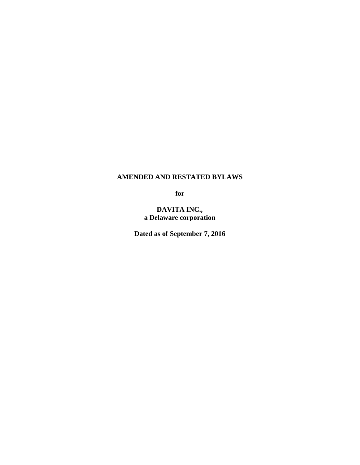# **AMENDED AND RESTATED BYLAWS**

**for**

**DAVITA INC., a Delaware corporation**

**Dated as of September 7, 2016**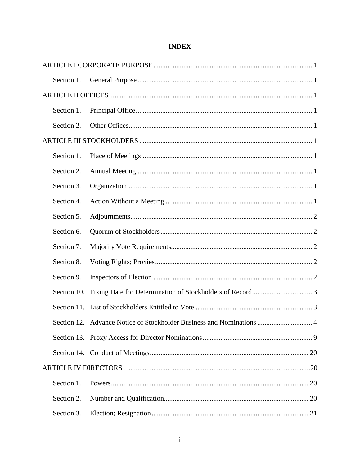| Section 1.  |                                                                           |  |  |  |
|-------------|---------------------------------------------------------------------------|--|--|--|
|             |                                                                           |  |  |  |
| Section 1.  |                                                                           |  |  |  |
| Section 2.  |                                                                           |  |  |  |
|             |                                                                           |  |  |  |
| Section 1.  |                                                                           |  |  |  |
| Section 2.  |                                                                           |  |  |  |
| Section 3.  |                                                                           |  |  |  |
| Section 4.  |                                                                           |  |  |  |
| Section 5.  |                                                                           |  |  |  |
| Section 6.  |                                                                           |  |  |  |
| Section 7.  |                                                                           |  |  |  |
| Section 8.  |                                                                           |  |  |  |
| Section 9.  |                                                                           |  |  |  |
| Section 10. |                                                                           |  |  |  |
|             |                                                                           |  |  |  |
|             | Section 12. Advance Notice of Stockholder Business and Nominations<br>. 4 |  |  |  |
|             |                                                                           |  |  |  |
|             |                                                                           |  |  |  |
|             |                                                                           |  |  |  |
| Section 1.  |                                                                           |  |  |  |
| Section 2.  |                                                                           |  |  |  |
| Section 3.  |                                                                           |  |  |  |

# **INDEX**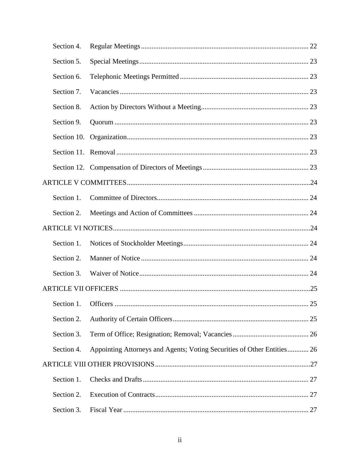|  | Section 4.          |                                                                         |    |  |  |
|--|---------------------|-------------------------------------------------------------------------|----|--|--|
|  | Section 5.          |                                                                         |    |  |  |
|  | Section 6.          |                                                                         |    |  |  |
|  | Section 7.          |                                                                         |    |  |  |
|  | Section 8.          |                                                                         |    |  |  |
|  | Section 9.          |                                                                         |    |  |  |
|  | Section 10.         |                                                                         |    |  |  |
|  |                     |                                                                         |    |  |  |
|  |                     |                                                                         |    |  |  |
|  |                     |                                                                         |    |  |  |
|  | Section 1.          |                                                                         |    |  |  |
|  | Section 2.          |                                                                         |    |  |  |
|  |                     |                                                                         |    |  |  |
|  | Section 1.          |                                                                         |    |  |  |
|  | Section 2.          |                                                                         |    |  |  |
|  | Section 3.          |                                                                         |    |  |  |
|  |                     |                                                                         |    |  |  |
|  | Section 1. Officers |                                                                         | 25 |  |  |
|  | Section 2.          |                                                                         |    |  |  |
|  | Section 3.          |                                                                         |    |  |  |
|  | Section 4.          | Appointing Attorneys and Agents; Voting Securities of Other Entities 26 |    |  |  |
|  |                     |                                                                         |    |  |  |
|  | Section 1.          |                                                                         |    |  |  |
|  | Section 2.          |                                                                         |    |  |  |
|  | Section 3.          |                                                                         |    |  |  |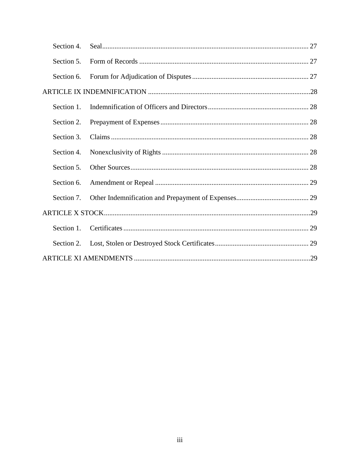| Section 4. |  |  |  |  |
|------------|--|--|--|--|
| Section 5. |  |  |  |  |
| Section 6. |  |  |  |  |
|            |  |  |  |  |
| Section 1. |  |  |  |  |
| Section 2. |  |  |  |  |
| Section 3. |  |  |  |  |
| Section 4. |  |  |  |  |
| Section 5. |  |  |  |  |
| Section 6. |  |  |  |  |
| Section 7. |  |  |  |  |
|            |  |  |  |  |
| Section 1. |  |  |  |  |
| Section 2. |  |  |  |  |
|            |  |  |  |  |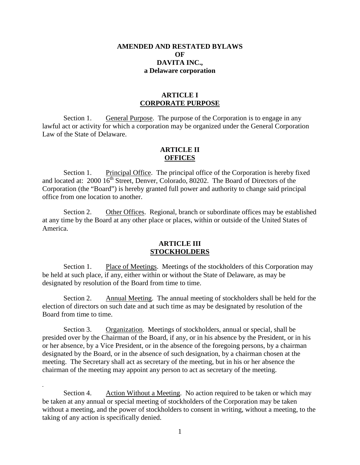## **AMENDED AND RESTATED BYLAWS**   $\Omega$ **F DAVITA INC., a Delaware corporation**

# **ARTICLE I CORPORATE PURPOSE**

Section 1. General Purpose. The purpose of the Corporation is to engage in any lawful act or activity for which a corporation may be organized under the General Corporation Law of the State of Delaware.

# **ARTICLE II OFFICES**

Section 1. Principal Office. The principal office of the Corporation is hereby fixed and located at: 2000 16<sup>th</sup> Street, Denver, Colorado, 80202. The Board of Directors of the Corporation (the "Board") is hereby granted full power and authority to change said principal office from one location to another.

Section 2. Other Offices. Regional, branch or subordinate offices may be established at any time by the Board at any other place or places, within or outside of the United States of America.

#### **ARTICLE III STOCKHOLDERS**

Section 1. Place of Meetings. Meetings of the stockholders of this Corporation may be held at such place, if any, either within or without the State of Delaware, as may be designated by resolution of the Board from time to time.

Section 2. Annual Meeting. The annual meeting of stockholders shall be held for the election of directors on such date and at such time as may be designated by resolution of the Board from time to time.

Section 3. Organization. Meetings of stockholders, annual or special, shall be presided over by the Chairman of the Board, if any, or in his absence by the President, or in his or her absence, by a Vice President, or in the absence of the foregoing persons, by a chairman designated by the Board, or in the absence of such designation, by a chairman chosen at the meeting. The Secretary shall act as secretary of the meeting, but in his or her absence the chairman of the meeting may appoint any person to act as secretary of the meeting.

Section 4. Action Without a Meeting. No action required to be taken or which may be taken at any annual or special meeting of stockholders of the Corporation may be taken without a meeting, and the power of stockholders to consent in writing, without a meeting, to the taking of any action is specifically denied.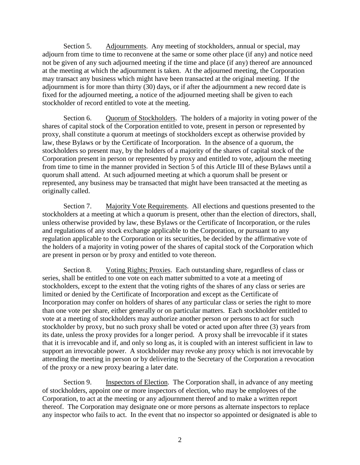Section 5. Adjournments. Any meeting of stockholders, annual or special, may adjourn from time to time to reconvene at the same or some other place (if any) and notice need not be given of any such adjourned meeting if the time and place (if any) thereof are announced at the meeting at which the adjournment is taken. At the adjourned meeting, the Corporation may transact any business which might have been transacted at the original meeting. If the adjournment is for more than thirty (30) days, or if after the adjournment a new record date is fixed for the adjourned meeting, a notice of the adjourned meeting shall be given to each stockholder of record entitled to vote at the meeting.

Section 6. Quorum of Stockholders. The holders of a majority in voting power of the shares of capital stock of the Corporation entitled to vote, present in person or represented by proxy, shall constitute a quorum at meetings of stockholders except as otherwise provided by law, these Bylaws or by the Certificate of Incorporation. In the absence of a quorum, the stockholders so present may, by the holders of a majority of the shares of capital stock of the Corporation present in person or represented by proxy and entitled to vote, adjourn the meeting from time to time in the manner provided in Section 5 of this Article III of these Bylaws until a quorum shall attend. At such adjourned meeting at which a quorum shall be present or represented, any business may be transacted that might have been transacted at the meeting as originally called.

Section 7. Majority Vote Requirements. All elections and questions presented to the stockholders at a meeting at which a quorum is present, other than the election of directors, shall, unless otherwise provided by law, these Bylaws or the Certificate of Incorporation, or the rules and regulations of any stock exchange applicable to the Corporation, or pursuant to any regulation applicable to the Corporation or its securities, be decided by the affirmative vote of the holders of a majority in voting power of the shares of capital stock of the Corporation which are present in person or by proxy and entitled to vote thereon.

Section 8. Voting Rights; Proxies. Each outstanding share, regardless of class or series, shall be entitled to one vote on each matter submitted to a vote at a meeting of stockholders, except to the extent that the voting rights of the shares of any class or series are limited or denied by the Certificate of Incorporation and except as the Certificate of Incorporation may confer on holders of shares of any particular class or series the right to more than one vote per share, either generally or on particular matters. Each stockholder entitled to vote at a meeting of stockholders may authorize another person or persons to act for such stockholder by proxy, but no such proxy shall be voted or acted upon after three (3) years from its date, unless the proxy provides for a longer period. A proxy shall be irrevocable if it states that it is irrevocable and if, and only so long as, it is coupled with an interest sufficient in law to support an irrevocable power. A stockholder may revoke any proxy which is not irrevocable by attending the meeting in person or by delivering to the Secretary of the Corporation a revocation of the proxy or a new proxy bearing a later date.

Section 9. Inspectors of Election. The Corporation shall, in advance of any meeting of stockholders, appoint one or more inspectors of election, who may be employees of the Corporation, to act at the meeting or any adjournment thereof and to make a written report thereof. The Corporation may designate one or more persons as alternate inspectors to replace any inspector who fails to act. In the event that no inspector so appointed or designated is able to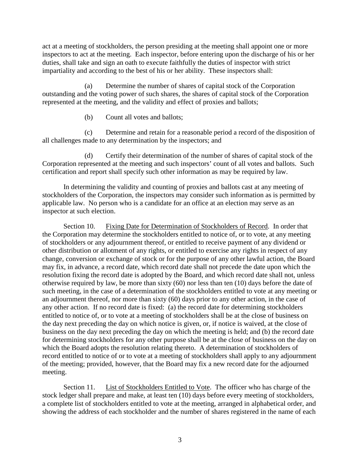act at a meeting of stockholders, the person presiding at the meeting shall appoint one or more inspectors to act at the meeting. Each inspector, before entering upon the discharge of his or her duties, shall take and sign an oath to execute faithfully the duties of inspector with strict impartiality and according to the best of his or her ability. These inspectors shall:

(a) Determine the number of shares of capital stock of the Corporation outstanding and the voting power of such shares, the shares of capital stock of the Corporation represented at the meeting, and the validity and effect of proxies and ballots;

(b) Count all votes and ballots;

(c) Determine and retain for a reasonable period a record of the disposition of all challenges made to any determination by the inspectors; and

(d) Certify their determination of the number of shares of capital stock of the Corporation represented at the meeting and such inspectors' count of all votes and ballots. Such certification and report shall specify such other information as may be required by law.

In determining the validity and counting of proxies and ballots cast at any meeting of stockholders of the Corporation, the inspectors may consider such information as is permitted by applicable law. No person who is a candidate for an office at an election may serve as an inspector at such election.

Section 10. Fixing Date for Determination of Stockholders of Record. In order that the Corporation may determine the stockholders entitled to notice of, or to vote, at any meeting of stockholders or any adjournment thereof, or entitled to receive payment of any dividend or other distribution or allotment of any rights, or entitled to exercise any rights in respect of any change, conversion or exchange of stock or for the purpose of any other lawful action, the Board may fix, in advance, a record date, which record date shall not precede the date upon which the resolution fixing the record date is adopted by the Board, and which record date shall not, unless otherwise required by law, be more than sixty (60) nor less than ten (10) days before the date of such meeting, in the case of a determination of the stockholders entitled to vote at any meeting or an adjournment thereof, nor more than sixty (60) days prior to any other action, in the case of any other action. If no record date is fixed: (a) the record date for determining stockholders entitled to notice of, or to vote at a meeting of stockholders shall be at the close of business on the day next preceding the day on which notice is given, or, if notice is waived, at the close of business on the day next preceding the day on which the meeting is held; and (b) the record date for determining stockholders for any other purpose shall be at the close of business on the day on which the Board adopts the resolution relating thereto. A determination of stockholders of record entitled to notice of or to vote at a meeting of stockholders shall apply to any adjournment of the meeting; provided, however, that the Board may fix a new record date for the adjourned meeting.

Section 11. List of Stockholders Entitled to Vote. The officer who has charge of the stock ledger shall prepare and make, at least ten (10) days before every meeting of stockholders, a complete list of stockholders entitled to vote at the meeting, arranged in alphabetical order, and showing the address of each stockholder and the number of shares registered in the name of each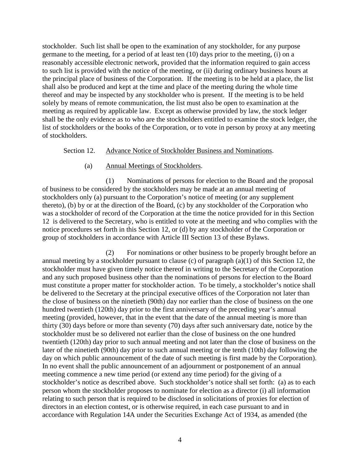stockholder. Such list shall be open to the examination of any stockholder, for any purpose germane to the meeting, for a period of at least ten (10) days prior to the meeting, (i) on a reasonably accessible electronic network, provided that the information required to gain access to such list is provided with the notice of the meeting, or (ii) during ordinary business hours at the principal place of business of the Corporation. If the meeting is to be held at a place, the list shall also be produced and kept at the time and place of the meeting during the whole time thereof and may be inspected by any stockholder who is present. If the meeting is to be held solely by means of remote communication, the list must also be open to examination at the meeting as required by applicable law. Except as otherwise provided by law, the stock ledger shall be the only evidence as to who are the stockholders entitled to examine the stock ledger, the list of stockholders or the books of the Corporation, or to vote in person by proxy at any meeting of stockholders.

#### Section 12. Advance Notice of Stockholder Business and Nominations.

## (a) Annual Meetings of Stockholders.

(1) Nominations of persons for election to the Board and the proposal of business to be considered by the stockholders may be made at an annual meeting of stockholders only (a) pursuant to the Corporation's notice of meeting (or any supplement thereto), (b) by or at the direction of the Board, (c) by any stockholder of the Corporation who was a stockholder of record of the Corporation at the time the notice provided for in this Section 12 is delivered to the Secretary, who is entitled to vote at the meeting and who complies with the notice procedures set forth in this Section 12, or (d) by any stockholder of the Corporation or group of stockholders in accordance with Article III Section 13 of these Bylaws.

(2) For nominations or other business to be properly brought before an annual meeting by a stockholder pursuant to clause (c) of paragraph (a)(1) of this Section 12, the stockholder must have given timely notice thereof in writing to the Secretary of the Corporation and any such proposed business other than the nominations of persons for election to the Board must constitute a proper matter for stockholder action. To be timely, a stockholder's notice shall be delivered to the Secretary at the principal executive offices of the Corporation not later than the close of business on the ninetieth (90th) day nor earlier than the close of business on the one hundred twentieth (120th) day prior to the first anniversary of the preceding year's annual meeting (provided, however, that in the event that the date of the annual meeting is more than thirty (30) days before or more than seventy (70) days after such anniversary date, notice by the stockholder must be so delivered not earlier than the close of business on the one hundred twentieth (120th) day prior to such annual meeting and not later than the close of business on the later of the ninetieth (90th) day prior to such annual meeting or the tenth (10th) day following the day on which public announcement of the date of such meeting is first made by the Corporation). In no event shall the public announcement of an adjournment or postponement of an annual meeting commence a new time period (or extend any time period) for the giving of a stockholder's notice as described above. Such stockholder's notice shall set forth: (a) as to each person whom the stockholder proposes to nominate for election as a director (i) all information relating to such person that is required to be disclosed in solicitations of proxies for election of directors in an election contest, or is otherwise required, in each case pursuant to and in accordance with Regulation 14A under the Securities Exchange Act of 1934, as amended (the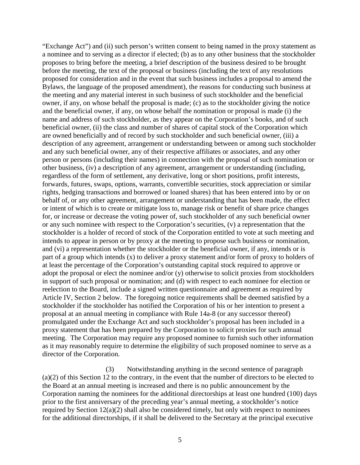"Exchange Act") and (ii) such person's written consent to being named in the proxy statement as a nominee and to serving as a director if elected; (b) as to any other business that the stockholder proposes to bring before the meeting, a brief description of the business desired to be brought before the meeting, the text of the proposal or business (including the text of any resolutions proposed for consideration and in the event that such business includes a proposal to amend the Bylaws, the language of the proposed amendment), the reasons for conducting such business at the meeting and any material interest in such business of such stockholder and the beneficial owner, if any, on whose behalf the proposal is made; (c) as to the stockholder giving the notice and the beneficial owner, if any, on whose behalf the nomination or proposal is made (i) the name and address of such stockholder, as they appear on the Corporation's books, and of such beneficial owner, (ii) the class and number of shares of capital stock of the Corporation which are owned beneficially and of record by such stockholder and such beneficial owner, (iii) a description of any agreement, arrangement or understanding between or among such stockholder and any such beneficial owner, any of their respective affiliates or associates, and any other person or persons (including their names) in connection with the proposal of such nomination or other business, (iv) a description of any agreement, arrangement or understanding (including, regardless of the form of settlement, any derivative, long or short positions, profit interests, forwards, futures, swaps, options, warrants, convertible securities, stock appreciation or similar rights, hedging transactions and borrowed or loaned shares) that has been entered into by or on behalf of, or any other agreement, arrangement or understanding that has been made, the effect or intent of which is to create or mitigate loss to, manage risk or benefit of share price changes for, or increase or decrease the voting power of, such stockholder of any such beneficial owner or any such nominee with respect to the Corporation's securities, (v) a representation that the stockholder is a holder of record of stock of the Corporation entitled to vote at such meeting and intends to appear in person or by proxy at the meeting to propose such business or nomination, and (vi) a representation whether the stockholder or the beneficial owner, if any, intends or is part of a group which intends (x) to deliver a proxy statement and/or form of proxy to holders of at least the percentage of the Corporation's outstanding capital stock required to approve or adopt the proposal or elect the nominee and/or (y) otherwise to solicit proxies from stockholders in support of such proposal or nomination; and (d) with respect to each nominee for election or reelection to the Board, include a signed written questionnaire and agreement as required by Article IV, Section 2 below. The foregoing notice requirements shall be deemed satisfied by a stockholder if the stockholder has notified the Corporation of his or her intention to present a proposal at an annual meeting in compliance with Rule 14a-8 (or any successor thereof) promulgated under the Exchange Act and such stockholder's proposal has been included in a proxy statement that has been prepared by the Corporation to solicit proxies for such annual meeting. The Corporation may require any proposed nominee to furnish such other information as it may reasonably require to determine the eligibility of such proposed nominee to serve as a director of the Corporation.

(3) Notwithstanding anything in the second sentence of paragraph (a)(2) of this Section 12 to the contrary, in the event that the number of directors to be elected to the Board at an annual meeting is increased and there is no public announcement by the Corporation naming the nominees for the additional directorships at least one hundred (100) days prior to the first anniversary of the preceding year's annual meeting, a stockholder's notice required by Section 12(a)(2) shall also be considered timely, but only with respect to nominees for the additional directorships, if it shall be delivered to the Secretary at the principal executive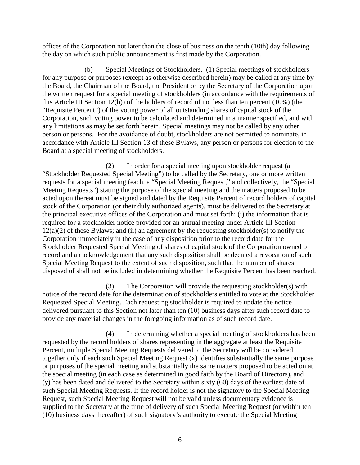offices of the Corporation not later than the close of business on the tenth (10th) day following the day on which such public announcement is first made by the Corporation.

(b) Special Meetings of Stockholders. (1) Special meetings of stockholders for any purpose or purposes (except as otherwise described herein) may be called at any time by the Board, the Chairman of the Board, the President or by the Secretary of the Corporation upon the written request for a special meeting of stockholders (in accordance with the requirements of this Article III Section 12(b)) of the holders of record of not less than ten percent (10%) (the "Requisite Percent") of the voting power of all outstanding shares of capital stock of the Corporation, such voting power to be calculated and determined in a manner specified, and with any limitations as may be set forth herein. Special meetings may not be called by any other person or persons. For the avoidance of doubt, stockholders are not permitted to nominate, in accordance with Article III Section 13 of these Bylaws, any person or persons for election to the Board at a special meeting of stockholders.

(2) In order for a special meeting upon stockholder request (a "Stockholder Requested Special Meeting") to be called by the Secretary, one or more written requests for a special meeting (each, a "Special Meeting Request," and collectively, the "Special Meeting Requests") stating the purpose of the special meeting and the matters proposed to be acted upon thereat must be signed and dated by the Requisite Percent of record holders of capital stock of the Corporation (or their duly authorized agents), must be delivered to the Secretary at the principal executive offices of the Corporation and must set forth: (i) the information that is required for a stockholder notice provided for an annual meeting under Article III Section  $12(a)(2)$  of these Bylaws; and (ii) an agreement by the requesting stockholder(s) to notify the Corporation immediately in the case of any disposition prior to the record date for the Stockholder Requested Special Meeting of shares of capital stock of the Corporation owned of record and an acknowledgement that any such disposition shall be deemed a revocation of such Special Meeting Request to the extent of such disposition, such that the number of shares disposed of shall not be included in determining whether the Requisite Percent has been reached.

(3) The Corporation will provide the requesting stockholder(s) with notice of the record date for the determination of stockholders entitled to vote at the Stockholder Requested Special Meeting. Each requesting stockholder is required to update the notice delivered pursuant to this Section not later than ten (10) business days after such record date to provide any material changes in the foregoing information as of such record date.

(4) In determining whether a special meeting of stockholders has been requested by the record holders of shares representing in the aggregate at least the Requisite Percent, multiple Special Meeting Requests delivered to the Secretary will be considered together only if each such Special Meeting Request (x) identifies substantially the same purpose or purposes of the special meeting and substantially the same matters proposed to be acted on at the special meeting (in each case as determined in good faith by the Board of Directors), and (y) has been dated and delivered to the Secretary within sixty (60) days of the earliest date of such Special Meeting Requests. If the record holder is not the signatory to the Special Meeting Request, such Special Meeting Request will not be valid unless documentary evidence is supplied to the Secretary at the time of delivery of such Special Meeting Request (or within ten (10) business days thereafter) of such signatory's authority to execute the Special Meeting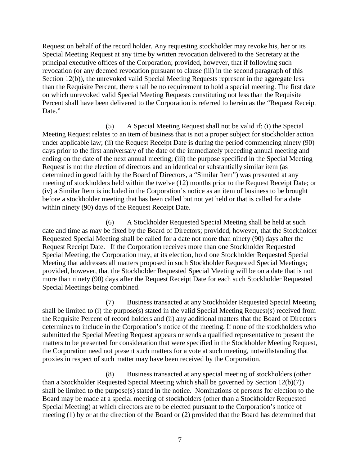Request on behalf of the record holder. Any requesting stockholder may revoke his, her or its Special Meeting Request at any time by written revocation delivered to the Secretary at the principal executive offices of the Corporation; provided, however, that if following such revocation (or any deemed revocation pursuant to clause (iii) in the second paragraph of this Section 12(b)), the unrevoked valid Special Meeting Requests represent in the aggregate less than the Requisite Percent, there shall be no requirement to hold a special meeting. The first date on which unrevoked valid Special Meeting Requests constituting not less than the Requisite Percent shall have been delivered to the Corporation is referred to herein as the "Request Receipt Date."

(5) A Special Meeting Request shall not be valid if: (i) the Special Meeting Request relates to an item of business that is not a proper subject for stockholder action under applicable law; (ii) the Request Receipt Date is during the period commencing ninety (90) days prior to the first anniversary of the date of the immediately preceding annual meeting and ending on the date of the next annual meeting; (iii) the purpose specified in the Special Meeting Request is not the election of directors and an identical or substantially similar item (as determined in good faith by the Board of Directors, a "Similar Item") was presented at any meeting of stockholders held within the twelve (12) months prior to the Request Receipt Date; or (iv) a Similar Item is included in the Corporation's notice as an item of business to be brought before a stockholder meeting that has been called but not yet held or that is called for a date within ninety (90) days of the Request Receipt Date.

(6) A Stockholder Requested Special Meeting shall be held at such date and time as may be fixed by the Board of Directors; provided, however, that the Stockholder Requested Special Meeting shall be called for a date not more than ninety (90) days after the Request Receipt Date. If the Corporation receives more than one Stockholder Requested Special Meeting, the Corporation may, at its election, hold one Stockholder Requested Special Meeting that addresses all matters proposed in such Stockholder Requested Special Meetings; provided, however, that the Stockholder Requested Special Meeting will be on a date that is not more than ninety (90) days after the Request Receipt Date for each such Stockholder Requested Special Meetings being combined.

(7) Business transacted at any Stockholder Requested Special Meeting shall be limited to (i) the purpose(s) stated in the valid Special Meeting Request(s) received from the Requisite Percent of record holders and (ii) any additional matters that the Board of Directors determines to include in the Corporation's notice of the meeting. If none of the stockholders who submitted the Special Meeting Request appears or sends a qualified representative to present the matters to be presented for consideration that were specified in the Stockholder Meeting Request, the Corporation need not present such matters for a vote at such meeting, notwithstanding that proxies in respect of such matter may have been received by the Corporation.

(8) Business transacted at any special meeting of stockholders (other than a Stockholder Requested Special Meeting which shall be governed by Section 12(b)(7)) shall be limited to the purpose(s) stated in the notice. Nominations of persons for election to the Board may be made at a special meeting of stockholders (other than a Stockholder Requested Special Meeting) at which directors are to be elected pursuant to the Corporation's notice of meeting (1) by or at the direction of the Board or (2) provided that the Board has determined that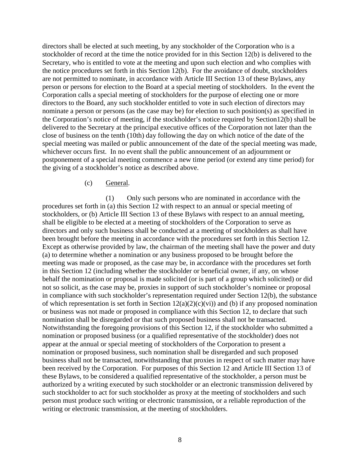directors shall be elected at such meeting, by any stockholder of the Corporation who is a stockholder of record at the time the notice provided for in this Section 12(b) is delivered to the Secretary, who is entitled to vote at the meeting and upon such election and who complies with the notice procedures set forth in this Section 12(b). For the avoidance of doubt, stockholders are not permitted to nominate, in accordance with Article III Section 13 of these Bylaws, any person or persons for election to the Board at a special meeting of stockholders. In the event the Corporation calls a special meeting of stockholders for the purpose of electing one or more directors to the Board, any such stockholder entitled to vote in such election of directors may nominate a person or persons (as the case may be) for election to such position(s) as specified in the Corporation's notice of meeting, if the stockholder's notice required by Section12(b) shall be delivered to the Secretary at the principal executive offices of the Corporation not later than the close of business on the tenth (10th) day following the day on which notice of the date of the special meeting was mailed or public announcement of the date of the special meeting was made, whichever occurs first. In no event shall the public announcement of an adjournment or postponement of a special meeting commence a new time period (or extend any time period) for the giving of a stockholder's notice as described above.

#### (c) General.

(1) Only such persons who are nominated in accordance with the procedures set forth in (a) this Section 12 with respect to an annual or special meeting of stockholders, or (b) Article III Section 13 of these Bylaws with respect to an annual meeting, shall be eligible to be elected at a meeting of stockholders of the Corporation to serve as directors and only such business shall be conducted at a meeting of stockholders as shall have been brought before the meeting in accordance with the procedures set forth in this Section 12. Except as otherwise provided by law, the chairman of the meeting shall have the power and duty (a) to determine whether a nomination or any business proposed to be brought before the meeting was made or proposed, as the case may be, in accordance with the procedures set forth in this Section 12 (including whether the stockholder or beneficial owner, if any, on whose behalf the nomination or proposal is made solicited (or is part of a group which solicited) or did not so solicit, as the case may be, proxies in support of such stockholder's nominee or proposal in compliance with such stockholder's representation required under Section 12(b), the substance of which representation is set forth in Section  $12(a)(2)(c)(vi)$  and (b) if any proposed nomination or business was not made or proposed in compliance with this Section 12, to declare that such nomination shall be disregarded or that such proposed business shall not be transacted. Notwithstanding the foregoing provisions of this Section 12, if the stockholder who submitted a nomination or proposed business (or a qualified representative of the stockholder) does not appear at the annual or special meeting of stockholders of the Corporation to present a nomination or proposed business, such nomination shall be disregarded and such proposed business shall not be transacted, notwithstanding that proxies in respect of such matter may have been received by the Corporation. For purposes of this Section 12 and Article III Section 13 of these Bylaws, to be considered a qualified representative of the stockholder, a person must be authorized by a writing executed by such stockholder or an electronic transmission delivered by such stockholder to act for such stockholder as proxy at the meeting of stockholders and such person must produce such writing or electronic transmission, or a reliable reproduction of the writing or electronic transmission, at the meeting of stockholders.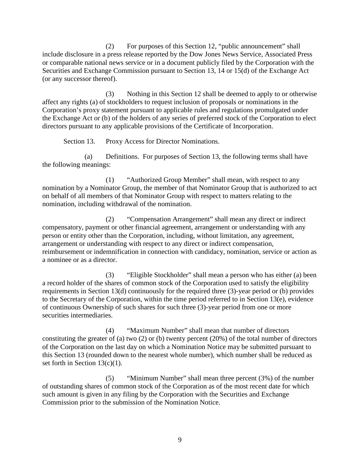(2) For purposes of this Section 12, "public announcement" shall include disclosure in a press release reported by the Dow Jones News Service, Associated Press or comparable national news service or in a document publicly filed by the Corporation with the Securities and Exchange Commission pursuant to Section 13, 14 or 15(d) of the Exchange Act (or any successor thereof).

(3) Nothing in this Section 12 shall be deemed to apply to or otherwise affect any rights (a) of stockholders to request inclusion of proposals or nominations in the Corporation's proxy statement pursuant to applicable rules and regulations promulgated under the Exchange Act or (b) of the holders of any series of preferred stock of the Corporation to elect directors pursuant to any applicable provisions of the Certificate of Incorporation.

Section 13. Proxy Access for Director Nominations.

(a) Definitions. For purposes of Section 13, the following terms shall have the following meanings:

(1) "Authorized Group Member" shall mean, with respect to any nomination by a Nominator Group, the member of that Nominator Group that is authorized to act on behalf of all members of that Nominator Group with respect to matters relating to the nomination, including withdrawal of the nomination.

(2) "Compensation Arrangement" shall mean any direct or indirect compensatory, payment or other financial agreement, arrangement or understanding with any person or entity other than the Corporation, including, without limitation, any agreement, arrangement or understanding with respect to any direct or indirect compensation, reimbursement or indemnification in connection with candidacy, nomination, service or action as a nominee or as a director.

(3) "Eligible Stockholder" shall mean a person who has either (a) been a record holder of the shares of common stock of the Corporation used to satisfy the eligibility requirements in Section 13(d) continuously for the required three (3)-year period or (b) provides to the Secretary of the Corporation, within the time period referred to in Section 13(e), evidence of continuous Ownership of such shares for such three (3)-year period from one or more securities intermediaries.

(4) "Maximum Number" shall mean that number of directors constituting the greater of (a) two (2) or (b) twenty percent (20%) of the total number of directors of the Corporation on the last day on which a Nomination Notice may be submitted pursuant to this Section 13 (rounded down to the nearest whole number), which number shall be reduced as set forth in Section 13(c)(1).

(5) "Minimum Number" shall mean three percent (3%) of the number of outstanding shares of common stock of the Corporation as of the most recent date for which such amount is given in any filing by the Corporation with the Securities and Exchange Commission prior to the submission of the Nomination Notice.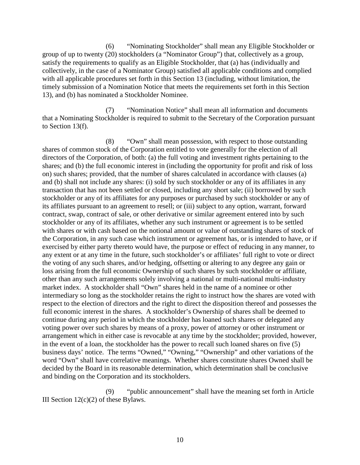(6) "Nominating Stockholder" shall mean any Eligible Stockholder or group of up to twenty (20) stockholders (a "Nominator Group") that, collectively as a group, satisfy the requirements to qualify as an Eligible Stockholder, that (a) has (individually and collectively, in the case of a Nominator Group) satisfied all applicable conditions and complied with all applicable procedures set forth in this Section 13 (including, without limitation, the timely submission of a Nomination Notice that meets the requirements set forth in this Section 13), and (b) has nominated a Stockholder Nominee.

(7) "Nomination Notice" shall mean all information and documents that a Nominating Stockholder is required to submit to the Secretary of the Corporation pursuant to Section 13(f).

(8) "Own" shall mean possession, with respect to those outstanding shares of common stock of the Corporation entitled to vote generally for the election of all directors of the Corporation, of both: (a) the full voting and investment rights pertaining to the shares; and (b) the full economic interest in (including the opportunity for profit and risk of loss on) such shares; provided, that the number of shares calculated in accordance with clauses (a) and (b) shall not include any shares: (i) sold by such stockholder or any of its affiliates in any transaction that has not been settled or closed, including any short sale; (ii) borrowed by such stockholder or any of its affiliates for any purposes or purchased by such stockholder or any of its affiliates pursuant to an agreement to resell; or (iii) subject to any option, warrant, forward contract, swap, contract of sale, or other derivative or similar agreement entered into by such stockholder or any of its affiliates, whether any such instrument or agreement is to be settled with shares or with cash based on the notional amount or value of outstanding shares of stock of the Corporation, in any such case which instrument or agreement has, or is intended to have, or if exercised by either party thereto would have, the purpose or effect of reducing in any manner, to any extent or at any time in the future, such stockholder's or affiliates' full right to vote or direct the voting of any such shares, and/or hedging, offsetting or altering to any degree any gain or loss arising from the full economic Ownership of such shares by such stockholder or affiliate, other than any such arrangements solely involving a national or multi-national multi-industry market index. A stockholder shall "Own" shares held in the name of a nominee or other intermediary so long as the stockholder retains the right to instruct how the shares are voted with respect to the election of directors and the right to direct the disposition thereof and possesses the full economic interest in the shares. A stockholder's Ownership of shares shall be deemed to continue during any period in which the stockholder has loaned such shares or delegated any voting power over such shares by means of a proxy, power of attorney or other instrument or arrangement which in either case is revocable at any time by the stockholder; provided, however, in the event of a loan, the stockholder has the power to recall such loaned shares on five (5) business days' notice. The terms "Owned," "Owning," "Ownership" and other variations of the word "Own" shall have correlative meanings. Whether shares constitute shares Owned shall be decided by the Board in its reasonable determination, which determination shall be conclusive and binding on the Corporation and its stockholders.

(9) "public announcement" shall have the meaning set forth in Article III Section  $12(c)(2)$  of these Bylaws.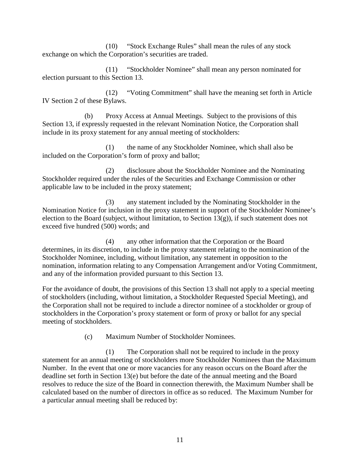(10) "Stock Exchange Rules" shall mean the rules of any stock exchange on which the Corporation's securities are traded.

(11) "Stockholder Nominee" shall mean any person nominated for election pursuant to this Section 13.

(12) "Voting Commitment" shall have the meaning set forth in Article IV Section 2 of these Bylaws.

(b) Proxy Access at Annual Meetings. Subject to the provisions of this Section 13, if expressly requested in the relevant Nomination Notice, the Corporation shall include in its proxy statement for any annual meeting of stockholders:

(1) the name of any Stockholder Nominee, which shall also be included on the Corporation's form of proxy and ballot;

(2) disclosure about the Stockholder Nominee and the Nominating Stockholder required under the rules of the Securities and Exchange Commission or other applicable law to be included in the proxy statement;

(3) any statement included by the Nominating Stockholder in the Nomination Notice for inclusion in the proxy statement in support of the Stockholder Nominee's election to the Board (subject, without limitation, to Section  $13(g)$ ), if such statement does not exceed five hundred (500) words; and

(4) any other information that the Corporation or the Board determines, in its discretion, to include in the proxy statement relating to the nomination of the Stockholder Nominee, including, without limitation, any statement in opposition to the nomination, information relating to any Compensation Arrangement and/or Voting Commitment, and any of the information provided pursuant to this Section 13.

For the avoidance of doubt, the provisions of this Section 13 shall not apply to a special meeting of stockholders (including, without limitation, a Stockholder Requested Special Meeting), and the Corporation shall not be required to include a director nominee of a stockholder or group of stockholders in the Corporation's proxy statement or form of proxy or ballot for any special meeting of stockholders.

(c) Maximum Number of Stockholder Nominees.

(1) The Corporation shall not be required to include in the proxy statement for an annual meeting of stockholders more Stockholder Nominees than the Maximum Number. In the event that one or more vacancies for any reason occurs on the Board after the deadline set forth in Section 13(e) but before the date of the annual meeting and the Board resolves to reduce the size of the Board in connection therewith, the Maximum Number shall be calculated based on the number of directors in office as so reduced. The Maximum Number for a particular annual meeting shall be reduced by: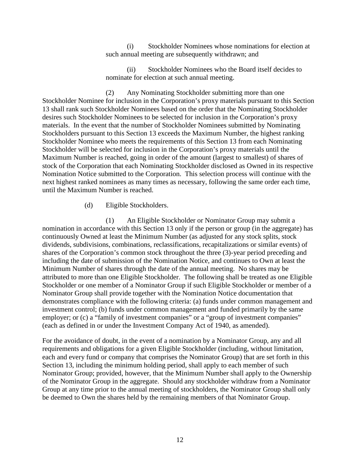(i) Stockholder Nominees whose nominations for election at such annual meeting are subsequently withdrawn; and

(ii) Stockholder Nominees who the Board itself decides to nominate for election at such annual meeting.

(2) Any Nominating Stockholder submitting more than one Stockholder Nominee for inclusion in the Corporation's proxy materials pursuant to this Section 13 shall rank such Stockholder Nominees based on the order that the Nominating Stockholder desires such Stockholder Nominees to be selected for inclusion in the Corporation's proxy materials. In the event that the number of Stockholder Nominees submitted by Nominating Stockholders pursuant to this Section 13 exceeds the Maximum Number, the highest ranking Stockholder Nominee who meets the requirements of this Section 13 from each Nominating Stockholder will be selected for inclusion in the Corporation's proxy materials until the Maximum Number is reached, going in order of the amount (largest to smallest) of shares of stock of the Corporation that each Nominating Stockholder disclosed as Owned in its respective Nomination Notice submitted to the Corporation. This selection process will continue with the next highest ranked nominees as many times as necessary, following the same order each time, until the Maximum Number is reached.

(d) Eligible Stockholders.

(1) An Eligible Stockholder or Nominator Group may submit a nomination in accordance with this Section 13 only if the person or group (in the aggregate) has continuously Owned at least the Minimum Number (as adjusted for any stock splits, stock dividends, subdivisions, combinations, reclassifications, recapitalizations or similar events) of shares of the Corporation's common stock throughout the three (3)-year period preceding and including the date of submission of the Nomination Notice, and continues to Own at least the Minimum Number of shares through the date of the annual meeting. No shares may be attributed to more than one Eligible Stockholder. The following shall be treated as one Eligible Stockholder or one member of a Nominator Group if such Eligible Stockholder or member of a Nominator Group shall provide together with the Nomination Notice documentation that demonstrates compliance with the following criteria: (a) funds under common management and investment control; (b) funds under common management and funded primarily by the same employer; or (c) a "family of investment companies" or a "group of investment companies" (each as defined in or under the Investment Company Act of 1940, as amended).

For the avoidance of doubt, in the event of a nomination by a Nominator Group, any and all requirements and obligations for a given Eligible Stockholder (including, without limitation, each and every fund or company that comprises the Nominator Group) that are set forth in this Section 13, including the minimum holding period, shall apply to each member of such Nominator Group; provided, however, that the Minimum Number shall apply to the Ownership of the Nominator Group in the aggregate. Should any stockholder withdraw from a Nominator Group at any time prior to the annual meeting of stockholders, the Nominator Group shall only be deemed to Own the shares held by the remaining members of that Nominator Group.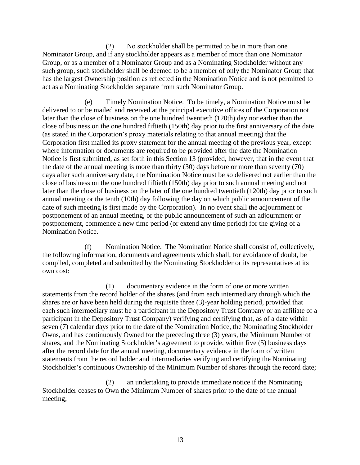(2) No stockholder shall be permitted to be in more than one Nominator Group, and if any stockholder appears as a member of more than one Nominator Group, or as a member of a Nominator Group and as a Nominating Stockholder without any such group, such stockholder shall be deemed to be a member of only the Nominator Group that has the largest Ownership position as reflected in the Nomination Notice and is not permitted to act as a Nominating Stockholder separate from such Nominator Group.

(e) Timely Nomination Notice. To be timely, a Nomination Notice must be delivered to or be mailed and received at the principal executive offices of the Corporation not later than the close of business on the one hundred twentieth (120th) day nor earlier than the close of business on the one hundred fiftieth (150th) day prior to the first anniversary of the date (as stated in the Corporation's proxy materials relating to that annual meeting) that the Corporation first mailed its proxy statement for the annual meeting of the previous year, except where information or documents are required to be provided after the date the Nomination Notice is first submitted, as set forth in this Section 13 (provided, however, that in the event that the date of the annual meeting is more than thirty (30) days before or more than seventy (70) days after such anniversary date, the Nomination Notice must be so delivered not earlier than the close of business on the one hundred fiftieth (150th) day prior to such annual meeting and not later than the close of business on the later of the one hundred twentieth (120th) day prior to such annual meeting or the tenth (10th) day following the day on which public announcement of the date of such meeting is first made by the Corporation). In no event shall the adjournment or postponement of an annual meeting, or the public announcement of such an adjournment or postponement, commence a new time period (or extend any time period) for the giving of a Nomination Notice.

(f) Nomination Notice. The Nomination Notice shall consist of, collectively, the following information, documents and agreements which shall, for avoidance of doubt, be compiled, completed and submitted by the Nominating Stockholder or its representatives at its own cost:

(1) documentary evidence in the form of one or more written statements from the record holder of the shares (and from each intermediary through which the shares are or have been held during the requisite three (3)-year holding period, provided that each such intermediary must be a participant in the Depository Trust Company or an affiliate of a participant in the Depository Trust Company) verifying and certifying that, as of a date within seven (7) calendar days prior to the date of the Nomination Notice, the Nominating Stockholder Owns, and has continuously Owned for the preceding three (3) years, the Minimum Number of shares, and the Nominating Stockholder's agreement to provide, within five (5) business days after the record date for the annual meeting, documentary evidence in the form of written statements from the record holder and intermediaries verifying and certifying the Nominating Stockholder's continuous Ownership of the Minimum Number of shares through the record date;

(2) an undertaking to provide immediate notice if the Nominating Stockholder ceases to Own the Minimum Number of shares prior to the date of the annual meeting;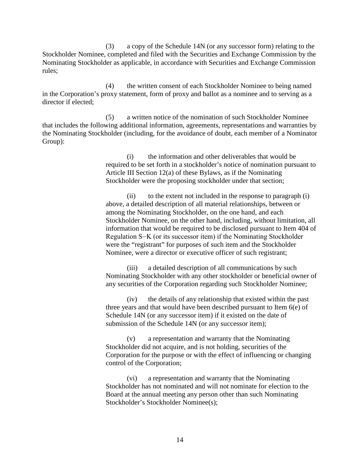(3) a copy of the Schedule 14N (or any successor form) relating to the Stockholder Nominee, completed and filed with the Securities and Exchange Commission by the Nominating Stockholder as applicable, in accordance with Securities and Exchange Commission rules;

(4) the written consent of each Stockholder Nominee to being named in the Corporation's proxy statement, form of proxy and ballot as a nominee and to serving as a director if elected;

(5) a written notice of the nomination of such Stockholder Nominee that includes the following additional information, agreements, representations and warranties by the Nominating Stockholder (including, for the avoidance of doubt, each member of a Nominator Group):

> (i) the information and other deliverables that would be required to be set forth in a stockholder's notice of nomination pursuant to Article III Section 12(a) of these Bylaws, as if the Nominating Stockholder were the proposing stockholder under that section;

> (ii) to the extent not included in the response to paragraph (i) above, a detailed description of all material relationships, between or among the Nominating Stockholder, on the one hand, and each Stockholder Nominee, on the other hand, including, without limitation, all information that would be required to be disclosed pursuant to Item 404 of Regulation S−K (or its successor item) if the Nominating Stockholder were the "registrant" for purposes of such item and the Stockholder Nominee, were a director or executive officer of such registrant;

> (iii) a detailed description of all communications by such Nominating Stockholder with any other stockholder or beneficial owner of any securities of the Corporation regarding such Stockholder Nominee;

(iv) the details of any relationship that existed within the past three years and that would have been described pursuant to Item 6(e) of Schedule 14N (or any successor item) if it existed on the date of submission of the Schedule 14N (or any successor item);

(v) a representation and warranty that the Nominating Stockholder did not acquire, and is not holding, securities of the Corporation for the purpose or with the effect of influencing or changing control of the Corporation;

(vi) a representation and warranty that the Nominating Stockholder has not nominated and will not nominate for election to the Board at the annual meeting any person other than such Nominating Stockholder's Stockholder Nominee(s);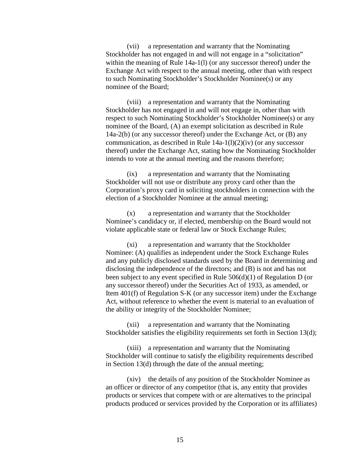(vii) a representation and warranty that the Nominating Stockholder has not engaged in and will not engage in a "solicitation" within the meaning of Rule 14a-1(1) (or any successor thereof) under the Exchange Act with respect to the annual meeting, other than with respect to such Nominating Stockholder's Stockholder Nominee(s) or any nominee of the Board;

(viii) a representation and warranty that the Nominating Stockholder has not engaged in and will not engage in, other than with respect to such Nominating Stockholder's Stockholder Nominee(s) or any nominee of the Board, (A) an exempt solicitation as described in Rule 14a-2(b) (or any successor thereof) under the Exchange Act, or (B) any communication, as described in Rule 14a-1(l)(2)(iv) (or any successor thereof) under the Exchange Act, stating how the Nominating Stockholder intends to vote at the annual meeting and the reasons therefore;

(ix) a representation and warranty that the Nominating Stockholder will not use or distribute any proxy card other than the Corporation's proxy card in soliciting stockholders in connection with the election of a Stockholder Nominee at the annual meeting;

(x) a representation and warranty that the Stockholder Nominee's candidacy or, if elected, membership on the Board would not violate applicable state or federal law or Stock Exchange Rules;

(xi) a representation and warranty that the Stockholder Nominee: (A) qualifies as independent under the Stock Exchange Rules and any publicly disclosed standards used by the Board in determining and disclosing the independence of the directors; and (B) is not and has not been subject to any event specified in Rule 506(d)(1) of Regulation D (or any successor thereof) under the Securities Act of 1933, as amended, or Item 401(f) of Regulation S-K (or any successor item) under the Exchange Act, without reference to whether the event is material to an evaluation of the ability or integrity of the Stockholder Nominee;

(xii) a representation and warranty that the Nominating Stockholder satisfies the eligibility requirements set forth in Section 13(d);

(xiii) a representation and warranty that the Nominating Stockholder will continue to satisfy the eligibility requirements described in Section 13(d) through the date of the annual meeting;

(xiv) the details of any position of the Stockholder Nominee as an officer or director of any competitor (that is, any entity that provides products or services that compete with or are alternatives to the principal products produced or services provided by the Corporation or its affiliates)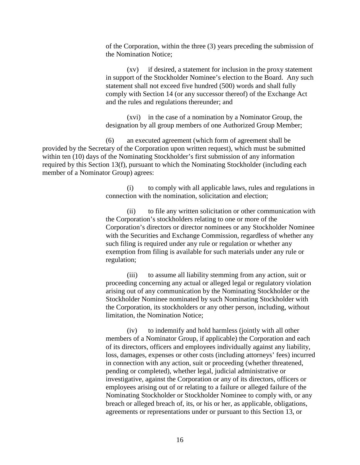of the Corporation, within the three (3) years preceding the submission of the Nomination Notice;

(xv) if desired, a statement for inclusion in the proxy statement in support of the Stockholder Nominee's election to the Board. Any such statement shall not exceed five hundred (500) words and shall fully comply with Section 14 (or any successor thereof) of the Exchange Act and the rules and regulations thereunder; and

(xvi) in the case of a nomination by a Nominator Group, the designation by all group members of one Authorized Group Member;

(6) an executed agreement (which form of agreement shall be provided by the Secretary of the Corporation upon written request), which must be submitted within ten (10) days of the Nominating Stockholder's first submission of any information required by this Section 13(f), pursuant to which the Nominating Stockholder (including each member of a Nominator Group) agrees:

> (i) to comply with all applicable laws, rules and regulations in connection with the nomination, solicitation and election;

> (ii) to file any written solicitation or other communication with the Corporation's stockholders relating to one or more of the Corporation's directors or director nominees or any Stockholder Nominee with the Securities and Exchange Commission, regardless of whether any such filing is required under any rule or regulation or whether any exemption from filing is available for such materials under any rule or regulation;

(iii) to assume all liability stemming from any action, suit or proceeding concerning any actual or alleged legal or regulatory violation arising out of any communication by the Nominating Stockholder or the Stockholder Nominee nominated by such Nominating Stockholder with the Corporation, its stockholders or any other person, including, without limitation, the Nomination Notice;

(iv) to indemnify and hold harmless (jointly with all other members of a Nominator Group, if applicable) the Corporation and each of its directors, officers and employees individually against any liability, loss, damages, expenses or other costs (including attorneys' fees) incurred in connection with any action, suit or proceeding (whether threatened, pending or completed), whether legal, judicial administrative or investigative, against the Corporation or any of its directors, officers or employees arising out of or relating to a failure or alleged failure of the Nominating Stockholder or Stockholder Nominee to comply with, or any breach or alleged breach of, its, or his or her, as applicable, obligations, agreements or representations under or pursuant to this Section 13, or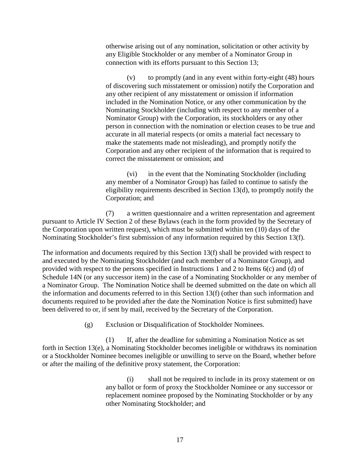otherwise arising out of any nomination, solicitation or other activity by any Eligible Stockholder or any member of a Nominator Group in connection with its efforts pursuant to this Section 13;

(v) to promptly (and in any event within forty-eight (48) hours of discovering such misstatement or omission) notify the Corporation and any other recipient of any misstatement or omission if information included in the Nomination Notice, or any other communication by the Nominating Stockholder (including with respect to any member of a Nominator Group) with the Corporation, its stockholders or any other person in connection with the nomination or election ceases to be true and accurate in all material respects (or omits a material fact necessary to make the statements made not misleading), and promptly notify the Corporation and any other recipient of the information that is required to correct the misstatement or omission; and

(vi) in the event that the Nominating Stockholder (including any member of a Nominator Group) has failed to continue to satisfy the eligibility requirements described in Section 13(d), to promptly notify the Corporation; and

(7) a written questionnaire and a written representation and agreement pursuant to Article IV Section 2 of these Bylaws (each in the form provided by the Secretary of the Corporation upon written request), which must be submitted within ten (10) days of the Nominating Stockholder's first submission of any information required by this Section 13(f).

The information and documents required by this Section 13(f) shall be provided with respect to and executed by the Nominating Stockholder (and each member of a Nominator Group), and provided with respect to the persons specified in Instructions 1 and 2 to Items 6(c) and (d) of Schedule 14N (or any successor item) in the case of a Nominating Stockholder or any member of a Nominator Group. The Nomination Notice shall be deemed submitted on the date on which all the information and documents referred to in this Section 13(f) (other than such information and documents required to be provided after the date the Nomination Notice is first submitted) have been delivered to or, if sent by mail, received by the Secretary of the Corporation.

(g) Exclusion or Disqualification of Stockholder Nominees.

(1) If, after the deadline for submitting a Nomination Notice as set forth in Section 13(e), a Nominating Stockholder becomes ineligible or withdraws its nomination or a Stockholder Nominee becomes ineligible or unwilling to serve on the Board, whether before or after the mailing of the definitive proxy statement, the Corporation:

> (i) shall not be required to include in its proxy statement or on any ballot or form of proxy the Stockholder Nominee or any successor or replacement nominee proposed by the Nominating Stockholder or by any other Nominating Stockholder; and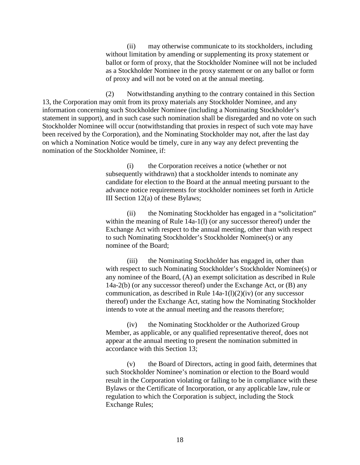(ii) may otherwise communicate to its stockholders, including without limitation by amending or supplementing its proxy statement or ballot or form of proxy, that the Stockholder Nominee will not be included as a Stockholder Nominee in the proxy statement or on any ballot or form of proxy and will not be voted on at the annual meeting.

(2) Notwithstanding anything to the contrary contained in this Section 13, the Corporation may omit from its proxy materials any Stockholder Nominee, and any information concerning such Stockholder Nominee (including a Nominating Stockholder's statement in support), and in such case such nomination shall be disregarded and no vote on such Stockholder Nominee will occur (notwithstanding that proxies in respect of such vote may have been received by the Corporation), and the Nominating Stockholder may not, after the last day on which a Nomination Notice would be timely, cure in any way any defect preventing the nomination of the Stockholder Nominee, if:

> (i) the Corporation receives a notice (whether or not subsequently withdrawn) that a stockholder intends to nominate any candidate for election to the Board at the annual meeting pursuant to the advance notice requirements for stockholder nominees set forth in Article III Section  $12(a)$  of these Bylaws;

> (ii) the Nominating Stockholder has engaged in a "solicitation" within the meaning of Rule 14a-1(l) (or any successor thereof) under the Exchange Act with respect to the annual meeting, other than with respect to such Nominating Stockholder's Stockholder Nominee(s) or any nominee of the Board;

> (iii) the Nominating Stockholder has engaged in, other than with respect to such Nominating Stockholder's Stockholder Nominee(s) or any nominee of the Board, (A) an exempt solicitation as described in Rule 14a-2(b) (or any successor thereof) under the Exchange Act, or (B) any communication, as described in Rule  $14a-1(1)(2)(iv)$  (or any successor thereof) under the Exchange Act, stating how the Nominating Stockholder intends to vote at the annual meeting and the reasons therefore;

(iv) the Nominating Stockholder or the Authorized Group Member, as applicable, or any qualified representative thereof, does not appear at the annual meeting to present the nomination submitted in accordance with this Section 13;

(v) the Board of Directors, acting in good faith, determines that such Stockholder Nominee's nomination or election to the Board would result in the Corporation violating or failing to be in compliance with these Bylaws or the Certificate of Incorporation, or any applicable law, rule or regulation to which the Corporation is subject, including the Stock Exchange Rules;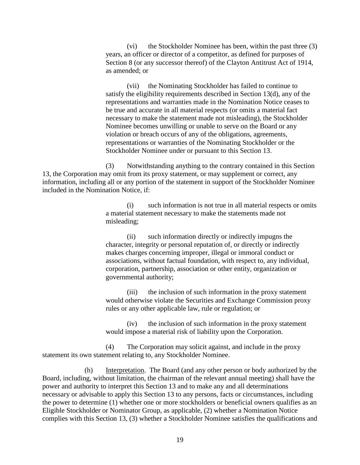(vi) the Stockholder Nominee has been, within the past three (3) years, an officer or director of a competitor, as defined for purposes of Section 8 (or any successor thereof) of the Clayton Antitrust Act of 1914, as amended; or

(vii) the Nominating Stockholder has failed to continue to satisfy the eligibility requirements described in Section 13(d), any of the representations and warranties made in the Nomination Notice ceases to be true and accurate in all material respects (or omits a material fact necessary to make the statement made not misleading), the Stockholder Nominee becomes unwilling or unable to serve on the Board or any violation or breach occurs of any of the obligations, agreements, representations or warranties of the Nominating Stockholder or the Stockholder Nominee under or pursuant to this Section 13.

(3) Notwithstanding anything to the contrary contained in this Section 13, the Corporation may omit from its proxy statement, or may supplement or correct, any information, including all or any portion of the statement in support of the Stockholder Nominee included in the Nomination Notice, if:

> (i) such information is not true in all material respects or omits a material statement necessary to make the statements made not misleading;

(ii) such information directly or indirectly impugns the character, integrity or personal reputation of, or directly or indirectly makes charges concerning improper, illegal or immoral conduct or associations, without factual foundation, with respect to, any individual, corporation, partnership, association or other entity, organization or governmental authority;

(iii) the inclusion of such information in the proxy statement would otherwise violate the Securities and Exchange Commission proxy rules or any other applicable law, rule or regulation; or

(iv) the inclusion of such information in the proxy statement would impose a material risk of liability upon the Corporation.

(4) The Corporation may solicit against, and include in the proxy statement its own statement relating to, any Stockholder Nominee.

(h) Interpretation. The Board (and any other person or body authorized by the Board, including, without limitation, the chairman of the relevant annual meeting) shall have the power and authority to interpret this Section 13 and to make any and all determinations necessary or advisable to apply this Section 13 to any persons, facts or circumstances, including the power to determine (1) whether one or more stockholders or beneficial owners qualifies as an Eligible Stockholder or Nominator Group, as applicable, (2) whether a Nomination Notice complies with this Section 13, (3) whether a Stockholder Nominee satisfies the qualifications and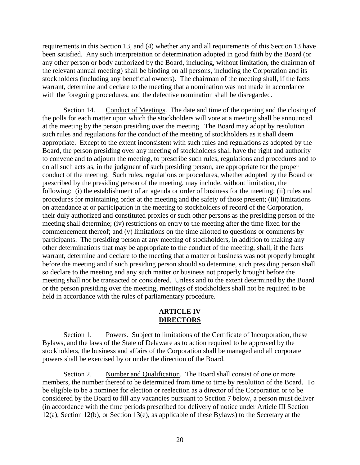requirements in this Section 13, and (4) whether any and all requirements of this Section 13 have been satisfied. Any such interpretation or determination adopted in good faith by the Board (or any other person or body authorized by the Board, including, without limitation, the chairman of the relevant annual meeting) shall be binding on all persons, including the Corporation and its stockholders (including any beneficial owners). The chairman of the meeting shall, if the facts warrant, determine and declare to the meeting that a nomination was not made in accordance with the foregoing procedures, and the defective nomination shall be disregarded.

Section 14. Conduct of Meetings. The date and time of the opening and the closing of the polls for each matter upon which the stockholders will vote at a meeting shall be announced at the meeting by the person presiding over the meeting. The Board may adopt by resolution such rules and regulations for the conduct of the meeting of stockholders as it shall deem appropriate. Except to the extent inconsistent with such rules and regulations as adopted by the Board, the person presiding over any meeting of stockholders shall have the right and authority to convene and to adjourn the meeting, to prescribe such rules, regulations and procedures and to do all such acts as, in the judgment of such presiding person, are appropriate for the proper conduct of the meeting. Such rules, regulations or procedures, whether adopted by the Board or prescribed by the presiding person of the meeting, may include, without limitation, the following: (i) the establishment of an agenda or order of business for the meeting; (ii) rules and procedures for maintaining order at the meeting and the safety of those present; (iii) limitations on attendance at or participation in the meeting to stockholders of record of the Corporation, their duly authorized and constituted proxies or such other persons as the presiding person of the meeting shall determine; (iv) restrictions on entry to the meeting after the time fixed for the commencement thereof; and (v) limitations on the time allotted to questions or comments by participants. The presiding person at any meeting of stockholders, in addition to making any other determinations that may be appropriate to the conduct of the meeting, shall, if the facts warrant, determine and declare to the meeting that a matter or business was not properly brought before the meeting and if such presiding person should so determine, such presiding person shall so declare to the meeting and any such matter or business not properly brought before the meeting shall not be transacted or considered. Unless and to the extent determined by the Board or the person presiding over the meeting, meetings of stockholders shall not be required to be held in accordance with the rules of parliamentary procedure.

## **ARTICLE IV DIRECTORS**

Section 1. Powers. Subject to limitations of the Certificate of Incorporation, these Bylaws, and the laws of the State of Delaware as to action required to be approved by the stockholders, the business and affairs of the Corporation shall be managed and all corporate powers shall be exercised by or under the direction of the Board.

Section 2. Number and Qualification. The Board shall consist of one or more members, the number thereof to be determined from time to time by resolution of the Board. To be eligible to be a nominee for election or reelection as a director of the Corporation or to be considered by the Board to fill any vacancies pursuant to Section 7 below, a person must deliver (in accordance with the time periods prescribed for delivery of notice under Article III Section 12(a), Section 12(b), or Section 13(e), as applicable of these Bylaws) to the Secretary at the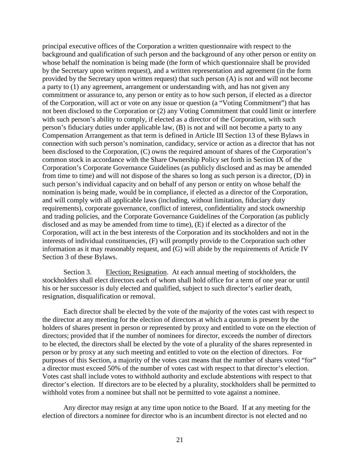principal executive offices of the Corporation a written questionnaire with respect to the background and qualification of such person and the background of any other person or entity on whose behalf the nomination is being made (the form of which questionnaire shall be provided by the Secretary upon written request), and a written representation and agreement (in the form provided by the Secretary upon written request) that such person (A) is not and will not become a party to (1) any agreement, arrangement or understanding with, and has not given any commitment or assurance to, any person or entity as to how such person, if elected as a director of the Corporation, will act or vote on any issue or question (a "Voting Commitment") that has not been disclosed to the Corporation or (2) any Voting Commitment that could limit or interfere with such person's ability to comply, if elected as a director of the Corporation, with such person's fiduciary duties under applicable law, (B) is not and will not become a party to any Compensation Arrangement as that term is defined in Article III Section 13 of these Bylaws in connection with such person's nomination, candidacy, service or action as a director that has not been disclosed to the Corporation, (C) owns the required amount of shares of the Corporation's common stock in accordance with the Share Ownership Policy set forth in Section IX of the Corporation's Corporate Governance Guidelines (as publicly disclosed and as may be amended from time to time) and will not dispose of the shares so long as such person is a director, (D) in such person's individual capacity and on behalf of any person or entity on whose behalf the nomination is being made, would be in compliance, if elected as a director of the Corporation, and will comply with all applicable laws (including, without limitation, fiduciary duty requirements), corporate governance, conflict of interest, confidentiality and stock ownership and trading policies, and the Corporate Governance Guidelines of the Corporation (as publicly disclosed and as may be amended from time to time), (E) if elected as a director of the Corporation, will act in the best interests of the Corporation and its stockholders and not in the interests of individual constituencies, (F) will promptly provide to the Corporation such other information as it may reasonably request, and (G) will abide by the requirements of Article IV Section 3 of these Bylaws.

Section 3. Election; Resignation. At each annual meeting of stockholders, the stockholders shall elect directors each of whom shall hold office for a term of one year or until his or her successor is duly elected and qualified, subject to such director's earlier death, resignation, disqualification or removal.

Each director shall be elected by the vote of the majority of the votes cast with respect to the director at any meeting for the election of directors at which a quorum is present by the holders of shares present in person or represented by proxy and entitled to vote on the election of directors; provided that if the number of nominees for director, exceeds the number of directors to be elected, the directors shall be elected by the vote of a plurality of the shares represented in person or by proxy at any such meeting and entitled to vote on the election of directors. For purposes of this Section, a majority of the votes cast means that the number of shares voted "for" a director must exceed 50% of the number of votes cast with respect to that director's election. Votes cast shall include votes to withhold authority and exclude abstentions with respect to that director's election. If directors are to be elected by a plurality, stockholders shall be permitted to withhold votes from a nominee but shall not be permitted to vote against a nominee.

Any director may resign at any time upon notice to the Board. If at any meeting for the election of directors a nominee for director who is an incumbent director is not elected and no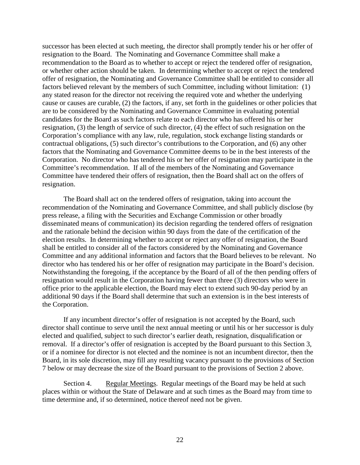successor has been elected at such meeting, the director shall promptly tender his or her offer of resignation to the Board. The Nominating and Governance Committee shall make a recommendation to the Board as to whether to accept or reject the tendered offer of resignation, or whether other action should be taken. In determining whether to accept or reject the tendered offer of resignation, the Nominating and Governance Committee shall be entitled to consider all factors believed relevant by the members of such Committee, including without limitation: (1) any stated reason for the director not receiving the required vote and whether the underlying cause or causes are curable, (2) the factors, if any, set forth in the guidelines or other policies that are to be considered by the Nominating and Governance Committee in evaluating potential candidates for the Board as such factors relate to each director who has offered his or her resignation, (3) the length of service of such director, (4) the effect of such resignation on the Corporation's compliance with any law, rule, regulation, stock exchange listing standards or contractual obligations, (5) such director's contributions to the Corporation, and (6) any other factors that the Nominating and Governance Committee deems to be in the best interests of the Corporation. No director who has tendered his or her offer of resignation may participate in the Committee's recommendation. If all of the members of the Nominating and Governance Committee have tendered their offers of resignation, then the Board shall act on the offers of resignation.

The Board shall act on the tendered offers of resignation, taking into account the recommendation of the Nominating and Governance Committee, and shall publicly disclose (by press release, a filing with the Securities and Exchange Commission or other broadly disseminated means of communication) its decision regarding the tendered offers of resignation and the rationale behind the decision within 90 days from the date of the certification of the election results. In determining whether to accept or reject any offer of resignation, the Board shall be entitled to consider all of the factors considered by the Nominating and Governance Committee and any additional information and factors that the Board believes to be relevant. No director who has tendered his or her offer of resignation may participate in the Board's decision. Notwithstanding the foregoing, if the acceptance by the Board of all of the then pending offers of resignation would result in the Corporation having fewer than three (3) directors who were in office prior to the applicable election, the Board may elect to extend such 90-day period by an additional 90 days if the Board shall determine that such an extension is in the best interests of the Corporation.

If any incumbent director's offer of resignation is not accepted by the Board, such director shall continue to serve until the next annual meeting or until his or her successor is duly elected and qualified, subject to such director's earlier death, resignation, disqualification or removal. If a director's offer of resignation is accepted by the Board pursuant to this Section 3, or if a nominee for director is not elected and the nominee is not an incumbent director, then the Board, in its sole discretion, may fill any resulting vacancy pursuant to the provisions of Section 7 below or may decrease the size of the Board pursuant to the provisions of Section 2 above.

Section 4. Regular Meetings. Regular meetings of the Board may be held at such places within or without the State of Delaware and at such times as the Board may from time to time determine and, if so determined, notice thereof need not be given.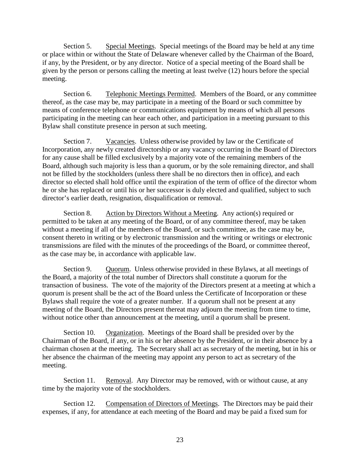Section 5. Special Meetings. Special meetings of the Board may be held at any time or place within or without the State of Delaware whenever called by the Chairman of the Board, if any, by the President, or by any director. Notice of a special meeting of the Board shall be given by the person or persons calling the meeting at least twelve (12) hours before the special meeting.

Section 6. Telephonic Meetings Permitted. Members of the Board, or any committee thereof, as the case may be, may participate in a meeting of the Board or such committee by means of conference telephone or communications equipment by means of which all persons participating in the meeting can hear each other, and participation in a meeting pursuant to this Bylaw shall constitute presence in person at such meeting.

Section 7. Vacancies. Unless otherwise provided by law or the Certificate of Incorporation, any newly created directorship or any vacancy occurring in the Board of Directors for any cause shall be filled exclusively by a majority vote of the remaining members of the Board, although such majority is less than a quorum, or by the sole remaining director, and shall not be filled by the stockholders (unless there shall be no directors then in office), and each director so elected shall hold office until the expiration of the term of office of the director whom he or she has replaced or until his or her successor is duly elected and qualified, subject to such director's earlier death, resignation, disqualification or removal.

Section 8. Action by Directors Without a Meeting. Any action(s) required or permitted to be taken at any meeting of the Board, or of any committee thereof, may be taken without a meeting if all of the members of the Board, or such committee, as the case may be, consent thereto in writing or by electronic transmission and the writing or writings or electronic transmissions are filed with the minutes of the proceedings of the Board, or committee thereof, as the case may be, in accordance with applicable law.

Section 9. Quorum. Unless otherwise provided in these Bylaws, at all meetings of the Board, a majority of the total number of Directors shall constitute a quorum for the transaction of business. The vote of the majority of the Directors present at a meeting at which a quorum is present shall be the act of the Board unless the Certificate of Incorporation or these Bylaws shall require the vote of a greater number. If a quorum shall not be present at any meeting of the Board, the Directors present thereat may adjourn the meeting from time to time, without notice other than announcement at the meeting, until a quorum shall be present.

Section 10. Organization. Meetings of the Board shall be presided over by the Chairman of the Board, if any, or in his or her absence by the President, or in their absence by a chairman chosen at the meeting. The Secretary shall act as secretary of the meeting, but in his or her absence the chairman of the meeting may appoint any person to act as secretary of the meeting.

Section 11. Removal. Any Director may be removed, with or without cause, at any time by the majority vote of the stockholders.

Section 12. Compensation of Directors of Meetings. The Directors may be paid their expenses, if any, for attendance at each meeting of the Board and may be paid a fixed sum for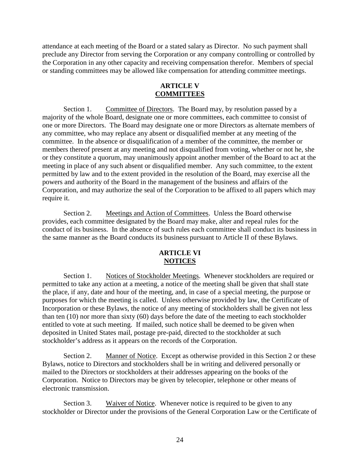attendance at each meeting of the Board or a stated salary as Director. No such payment shall preclude any Director from serving the Corporation or any company controlling or controlled by the Corporation in any other capacity and receiving compensation therefor. Members of special or standing committees may be allowed like compensation for attending committee meetings.

#### **ARTICLE V COMMITTEES**

Section 1. Committee of Directors. The Board may, by resolution passed by a majority of the whole Board, designate one or more committees, each committee to consist of one or more Directors. The Board may designate one or more Directors as alternate members of any committee, who may replace any absent or disqualified member at any meeting of the committee. In the absence or disqualification of a member of the committee, the member or members thereof present at any meeting and not disqualified from voting, whether or not he, she or they constitute a quorum, may unanimously appoint another member of the Board to act at the meeting in place of any such absent or disqualified member. Any such committee, to the extent permitted by law and to the extent provided in the resolution of the Board, may exercise all the powers and authority of the Board in the management of the business and affairs of the Corporation, and may authorize the seal of the Corporation to be affixed to all papers which may require it.

Section 2. Meetings and Action of Committees. Unless the Board otherwise provides, each committee designated by the Board may make, alter and repeal rules for the conduct of its business. In the absence of such rules each committee shall conduct its business in the same manner as the Board conducts its business pursuant to Article II of these Bylaws.

# **ARTICLE VI NOTICES**

Section 1. Notices of Stockholder Meetings. Whenever stockholders are required or permitted to take any action at a meeting, a notice of the meeting shall be given that shall state the place, if any, date and hour of the meeting, and, in case of a special meeting, the purpose or purposes for which the meeting is called. Unless otherwise provided by law, the Certificate of Incorporation or these Bylaws, the notice of any meeting of stockholders shall be given not less than ten (10) nor more than sixty (60) days before the date of the meeting to each stockholder entitled to vote at such meeting. If mailed, such notice shall be deemed to be given when deposited in United States mail, postage pre-paid, directed to the stockholder at such stockholder's address as it appears on the records of the Corporation.

Section 2. Manner of Notice. Except as otherwise provided in this Section 2 or these Bylaws, notice to Directors and stockholders shall be in writing and delivered personally or mailed to the Directors or stockholders at their addresses appearing on the books of the Corporation. Notice to Directors may be given by telecopier, telephone or other means of electronic transmission.

Section 3. Waiver of Notice. Whenever notice is required to be given to any stockholder or Director under the provisions of the General Corporation Law or the Certificate of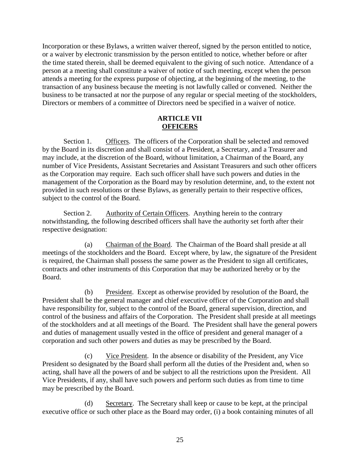Incorporation or these Bylaws, a written waiver thereof, signed by the person entitled to notice, or a waiver by electronic transmission by the person entitled to notice, whether before or after the time stated therein, shall be deemed equivalent to the giving of such notice. Attendance of a person at a meeting shall constitute a waiver of notice of such meeting, except when the person attends a meeting for the express purpose of objecting, at the beginning of the meeting, to the transaction of any business because the meeting is not lawfully called or convened. Neither the business to be transacted at nor the purpose of any regular or special meeting of the stockholders, Directors or members of a committee of Directors need be specified in a waiver of notice.

# **ARTICLE VII OFFICERS**

Section 1. Officers. The officers of the Corporation shall be selected and removed by the Board in its discretion and shall consist of a President, a Secretary, and a Treasurer and may include, at the discretion of the Board, without limitation, a Chairman of the Board, any number of Vice Presidents, Assistant Secretaries and Assistant Treasurers and such other officers as the Corporation may require. Each such officer shall have such powers and duties in the management of the Corporation as the Board may by resolution determine, and, to the extent not provided in such resolutions or these Bylaws, as generally pertain to their respective offices, subject to the control of the Board.

Section 2. Authority of Certain Officers. Anything herein to the contrary notwithstanding, the following described officers shall have the authority set forth after their respective designation:

(a) Chairman of the Board. The Chairman of the Board shall preside at all meetings of the stockholders and the Board. Except where, by law, the signature of the President is required, the Chairman shall possess the same power as the President to sign all certificates, contracts and other instruments of this Corporation that may be authorized hereby or by the Board.

(b) President. Except as otherwise provided by resolution of the Board, the President shall be the general manager and chief executive officer of the Corporation and shall have responsibility for, subject to the control of the Board, general supervision, direction, and control of the business and affairs of the Corporation. The President shall preside at all meetings of the stockholders and at all meetings of the Board. The President shall have the general powers and duties of management usually vested in the office of president and general manager of a corporation and such other powers and duties as may be prescribed by the Board.

(c) Vice President. In the absence or disability of the President, any Vice President so designated by the Board shall perform all the duties of the President and, when so acting, shall have all the powers of and be subject to all the restrictions upon the President. All Vice Presidents, if any, shall have such powers and perform such duties as from time to time may be prescribed by the Board.

(d) Secretary. The Secretary shall keep or cause to be kept, at the principal executive office or such other place as the Board may order, (i) a book containing minutes of all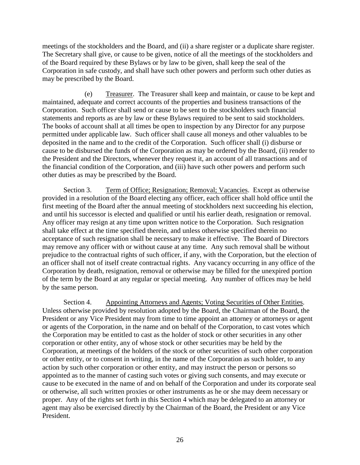meetings of the stockholders and the Board, and (ii) a share register or a duplicate share register. The Secretary shall give, or cause to be given, notice of all the meetings of the stockholders and of the Board required by these Bylaws or by law to be given, shall keep the seal of the Corporation in safe custody, and shall have such other powers and perform such other duties as may be prescribed by the Board.

(e) Treasurer. The Treasurer shall keep and maintain, or cause to be kept and maintained, adequate and correct accounts of the properties and business transactions of the Corporation. Such officer shall send or cause to be sent to the stockholders such financial statements and reports as are by law or these Bylaws required to be sent to said stockholders. The books of account shall at all times be open to inspection by any Director for any purpose permitted under applicable law. Such officer shall cause all moneys and other valuables to be deposited in the name and to the credit of the Corporation. Such officer shall (i) disburse or cause to be disbursed the funds of the Corporation as may be ordered by the Board, (ii) render to the President and the Directors, whenever they request it, an account of all transactions and of the financial condition of the Corporation, and (iii) have such other powers and perform such other duties as may be prescribed by the Board.

Section 3. Term of Office; Resignation; Removal; Vacancies. Except as otherwise provided in a resolution of the Board electing any officer, each officer shall hold office until the first meeting of the Board after the annual meeting of stockholders next succeeding his election, and until his successor is elected and qualified or until his earlier death, resignation or removal. Any officer may resign at any time upon written notice to the Corporation. Such resignation shall take effect at the time specified therein, and unless otherwise specified therein no acceptance of such resignation shall be necessary to make it effective. The Board of Directors may remove any officer with or without cause at any time. Any such removal shall be without prejudice to the contractual rights of such officer, if any, with the Corporation, but the election of an officer shall not of itself create contractual rights. Any vacancy occurring in any office of the Corporation by death, resignation, removal or otherwise may be filled for the unexpired portion of the term by the Board at any regular or special meeting. Any number of offices may be held by the same person.

Section 4. Appointing Attorneys and Agents; Voting Securities of Other Entities. Unless otherwise provided by resolution adopted by the Board, the Chairman of the Board, the President or any Vice President may from time to time appoint an attorney or attorneys or agent or agents of the Corporation, in the name and on behalf of the Corporation, to cast votes which the Corporation may be entitled to cast as the holder of stock or other securities in any other corporation or other entity, any of whose stock or other securities may be held by the Corporation, at meetings of the holders of the stock or other securities of such other corporation or other entity, or to consent in writing, in the name of the Corporation as such holder, to any action by such other corporation or other entity, and may instruct the person or persons so appointed as to the manner of casting such votes or giving such consents, and may execute or cause to be executed in the name of and on behalf of the Corporation and under its corporate seal or otherwise, all such written proxies or other instruments as he or she may deem necessary or proper. Any of the rights set forth in this Section 4 which may be delegated to an attorney or agent may also be exercised directly by the Chairman of the Board, the President or any Vice President.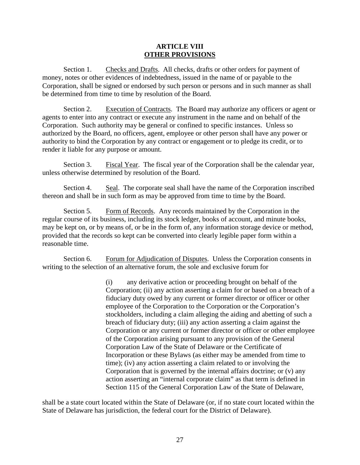#### **ARTICLE VIII OTHER PROVISIONS**

Section 1. Checks and Drafts. All checks, drafts or other orders for payment of money, notes or other evidences of indebtedness, issued in the name of or payable to the Corporation, shall be signed or endorsed by such person or persons and in such manner as shall be determined from time to time by resolution of the Board.

Section 2. Execution of Contracts. The Board may authorize any officers or agent or agents to enter into any contract or execute any instrument in the name and on behalf of the Corporation. Such authority may be general or confined to specific instances. Unless so authorized by the Board, no officers, agent, employee or other person shall have any power or authority to bind the Corporation by any contract or engagement or to pledge its credit, or to render it liable for any purpose or amount.

Section 3. Fiscal Year. The fiscal year of the Corporation shall be the calendar year, unless otherwise determined by resolution of the Board.

Section 4. Seal. The corporate seal shall have the name of the Corporation inscribed thereon and shall be in such form as may be approved from time to time by the Board.

Section 5. Form of Records. Any records maintained by the Corporation in the regular course of its business, including its stock ledger, books of account, and minute books, may be kept on, or by means of, or be in the form of, any information storage device or method, provided that the records so kept can be converted into clearly legible paper form within a reasonable time.

Section 6. Forum for Adjudication of Disputes. Unless the Corporation consents in writing to the selection of an alternative forum, the sole and exclusive forum for

> (i) any derivative action or proceeding brought on behalf of the Corporation; (ii) any action asserting a claim for or based on a breach of a fiduciary duty owed by any current or former director or officer or other employee of the Corporation to the Corporation or the Corporation's stockholders, including a claim alleging the aiding and abetting of such a breach of fiduciary duty; (iii) any action asserting a claim against the Corporation or any current or former director or officer or other employee of the Corporation arising pursuant to any provision of the General Corporation Law of the State of Delaware or the Certificate of Incorporation or these Bylaws (as either may be amended from time to time); (iv) any action asserting a claim related to or involving the Corporation that is governed by the internal affairs doctrine; or (v) any action asserting an "internal corporate claim" as that term is defined in Section 115 of the General Corporation Law of the State of Delaware,

shall be a state court located within the State of Delaware (or, if no state court located within the State of Delaware has jurisdiction, the federal court for the District of Delaware).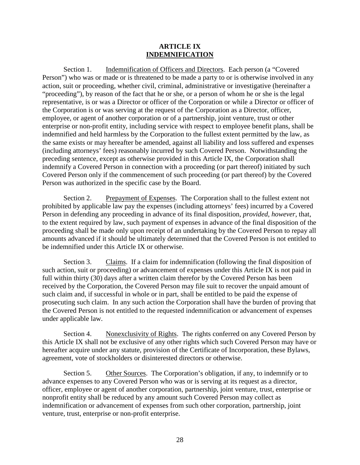#### **ARTICLE IX INDEMNIFICATION**

Section 1. Indemnification of Officers and Directors. Each person (a "Covered Person") who was or made or is threatened to be made a party to or is otherwise involved in any action, suit or proceeding, whether civil, criminal, administrative or investigative (hereinafter a "proceeding"), by reason of the fact that he or she, or a person of whom he or she is the legal representative, is or was a Director or officer of the Corporation or while a Director or officer of the Corporation is or was serving at the request of the Corporation as a Director, officer, employee, or agent of another corporation or of a partnership, joint venture, trust or other enterprise or non-profit entity, including service with respect to employee benefit plans, shall be indemnified and held harmless by the Corporation to the fullest extent permitted by the law, as the same exists or may hereafter be amended, against all liability and loss suffered and expenses (including attorneys' fees) reasonably incurred by such Covered Person. Notwithstanding the preceding sentence, except as otherwise provided in this Article IX, the Corporation shall indemnify a Covered Person in connection with a proceeding (or part thereof) initiated by such Covered Person only if the commencement of such proceeding (or part thereof) by the Covered Person was authorized in the specific case by the Board.

Section 2. Prepayment of Expenses. The Corporation shall to the fullest extent not prohibited by applicable law pay the expenses (including attorneys' fees) incurred by a Covered Person in defending any proceeding in advance of its final disposition, *provided*, *however*, that, to the extent required by law, such payment of expenses in advance of the final disposition of the proceeding shall be made only upon receipt of an undertaking by the Covered Person to repay all amounts advanced if it should be ultimately determined that the Covered Person is not entitled to be indemnified under this Article IX or otherwise.

Section 3. Claims. If a claim for indemnification (following the final disposition of such action, suit or proceeding) or advancement of expenses under this Article IX is not paid in full within thirty (30) days after a written claim therefor by the Covered Person has been received by the Corporation, the Covered Person may file suit to recover the unpaid amount of such claim and, if successful in whole or in part, shall be entitled to be paid the expense of prosecuting such claim. In any such action the Corporation shall have the burden of proving that the Covered Person is not entitled to the requested indemnification or advancement of expenses under applicable law.

Section 4. Nonexclusivity of Rights. The rights conferred on any Covered Person by this Article IX shall not be exclusive of any other rights which such Covered Person may have or hereafter acquire under any statute, provision of the Certificate of Incorporation, these Bylaws, agreement, vote of stockholders or disinterested directors or otherwise.

Section 5. Other Sources. The Corporation's obligation, if any, to indemnify or to advance expenses to any Covered Person who was or is serving at its request as a director, officer, employee or agent of another corporation, partnership, joint venture, trust, enterprise or nonprofit entity shall be reduced by any amount such Covered Person may collect as indemnification or advancement of expenses from such other corporation, partnership, joint venture, trust, enterprise or non-profit enterprise.